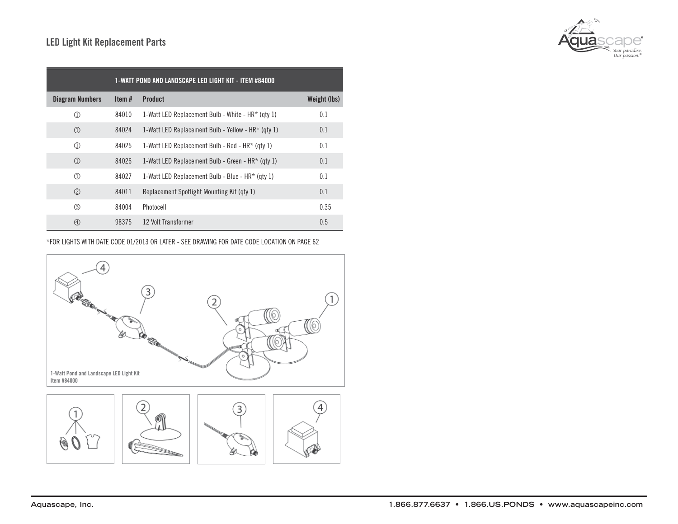

| 1-WATT POND AND LANDSCAPE LED LIGHT KIT - ITEM #84000 |       |                                                    |              |
|-------------------------------------------------------|-------|----------------------------------------------------|--------------|
| <b>Diagram Numbers</b>                                | Item# | <b>Product</b>                                     | Weight (lbs) |
| $\textcircled{\scriptsize{1}}$                        | 84010 | 1-Watt LED Replacement Bulb - White - HR* (qty 1)  | 0.1          |
| $\textcircled{\scriptsize{1}}$                        | 84024 | 1-Watt LED Replacement Bulb - Yellow - HR* (qty 1) | 0.1          |
| $\textcircled{\scriptsize{1}}$                        | 84025 | 1-Watt LED Replacement Bulb - Red - $HR*$ (gty 1)  | 0.1          |
| $\textcircled{\scriptsize{1}}$                        | 84026 | 1-Watt LED Replacement Bulb - Green - HR* (qty 1)  | 0.1          |
| $\textcircled{\scriptsize{1}}$                        | 84027 | 1-Watt LED Replacement Bulb - Blue - HR* (qty 1)   | 0.1          |
| (2)                                                   | 84011 | Replacement Spotlight Mounting Kit (qty 1)         | 0.1          |
| $\circled{3}$                                         | 84004 | Photocell                                          | 0.35         |
| $\circled{4}$                                         | 98375 | 12 Volt Transformer                                | 0.5          |

\*FOR LIGHTS WITH DATE CODE 01/2013 OR LATER - SEE DRAWING FOR DATE CODE LOCATION ON PAGE 62

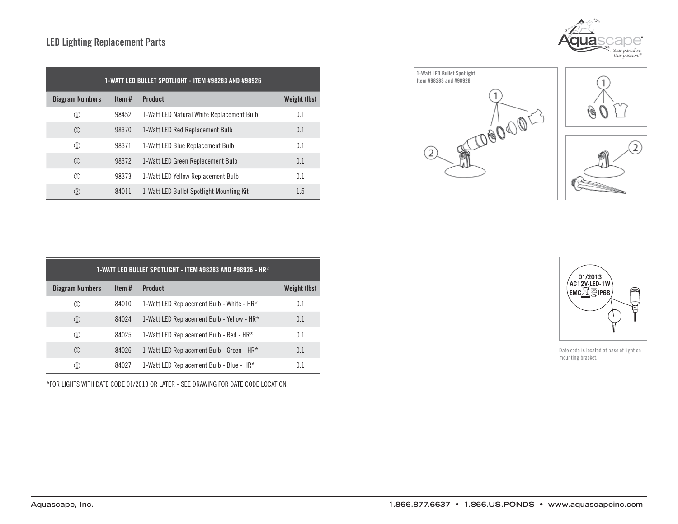## LED Lighting Replacement Parts

| 1-WATT LED BULLET SPOTLIGHT - ITEM #98283 AND #98926 |       |                                           |              |  |  |
|------------------------------------------------------|-------|-------------------------------------------|--------------|--|--|
| <b>Diagram Numbers</b>                               | Item# | <b>Product</b>                            | Weight (lbs) |  |  |
| ①                                                    | 98452 | 1-Watt LED Natural White Replacement Bulb | 0.1          |  |  |
| $\textcircled{\scriptsize{1}}$                       | 98370 | 1-Watt LED Red Replacement Bulb           | 0.1          |  |  |
| $\textcircled{\scriptsize{1}}$                       | 98371 | 1-Watt LED Blue Replacement Bulb          | 0.1          |  |  |
| $\textcircled{\scriptsize{1}}$                       | 98372 | 1-Watt LED Green Replacement Bulb         | 0.1          |  |  |
| $\textcircled{\scriptsize{1}}$                       | 98373 | 1-Watt LED Yellow Replacement Bulb        | 0.1          |  |  |
| $^{\circledR}$                                       | 84011 | 1-Watt LED Bullet Spotlight Mounting Kit  | 1.5          |  |  |



1-Watt LED Bullet Spotlight Item #98283 and #98926

 $(2)$ 



| 1-WATT LED BULLET SPOTLIGHT - ITEM #98283 AND #98926 - HR* |       |                                            |              |  |  |
|------------------------------------------------------------|-------|--------------------------------------------|--------------|--|--|
| Diagram Numbers                                            | Item# | <b>Product</b>                             | Weight (lbs) |  |  |
| (1)                                                        | 84010 | 1-Watt LED Replacement Bulb - White - HR*  | 0.1          |  |  |
| $\rm (I)$                                                  | 84024 | 1-Watt LED Replacement Bulb - Yellow - HR* | 0.1          |  |  |
| $\textcircled{\scriptsize{1}}$                             | 84025 | 1-Watt LED Replacement Bulb - Red - HR*    | 0.1          |  |  |
| (1)                                                        | 84026 | 1-Watt LED Replacement Bulb - Green - HR*  | 0.1          |  |  |
| (1)                                                        | 84027 | 1-Watt LED Replacement Bulb - Blue - HR*   | 0.1          |  |  |

\*FOR LIGHTS WITH DATE CODE 01/2013 OR LATER - SEE DRAWING FOR DATE CODE LOCATION.



Date code is located at base of light on mounting bracket.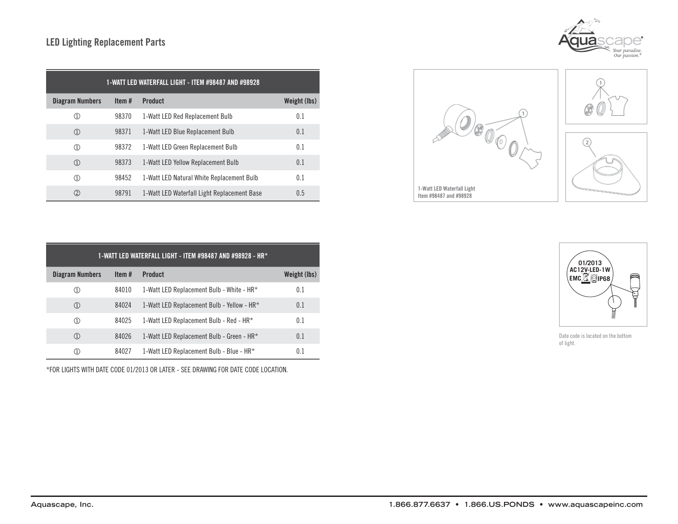## LED Lighting Replacement Parts

| 1-WATT LED WATERFALL LIGHT - ITEM #98487 AND #98928 |          |                                             |              |  |
|-----------------------------------------------------|----------|---------------------------------------------|--------------|--|
| Diagram Numbers                                     | Item $#$ | <b>Product</b>                              | Weight (lbs) |  |
| $^{\circledR}$                                      | 98370    | 1-Watt LED Red Replacement Bulb             | 0.1          |  |
| $\circled{1}$                                       | 98371    | 1-Watt LED Blue Replacement Bulb            | 0.1          |  |
| $\circled{1}$                                       | 98372    | 1-Watt LED Green Replacement Bulb           | 0.1          |  |
| $\circled{1}$                                       | 98373    | 1-Watt LED Yellow Replacement Bulb          | 0.1          |  |
| $\circled{1}$                                       | 98452    | 1-Watt LED Natural White Replacement Bulb   | 0.1          |  |
| $\circled{2}$                                       | 98791    | 1-Watt LED Waterfall Light Replacement Base | 0.5          |  |

| 1-WATT LED WATERFALL LIGHT - ITEM #98487 AND #98928 - HR* |       |                                            |              |  |
|-----------------------------------------------------------|-------|--------------------------------------------|--------------|--|
| <b>Diagram Numbers</b>                                    | Item# | <b>Product</b>                             | Weight (lbs) |  |
| $\left(1\right)$                                          | 84010 | 1-Watt LED Replacement Bulb - White - HR*  | 0.1          |  |
| $\textcircled{\scriptsize{1}}$                            | 84024 | 1-Watt LED Replacement Bulb - Yellow - HR* | 0.1          |  |
| $\rm \scriptstyle{(1)}$                                   | 84025 | 1-Watt LED Replacement Bulb - Red - HR*    | 0.1          |  |
| $\rm (I)$                                                 | 84026 | 1-Watt LED Replacement Bulb - Green - HR*  | 0.1          |  |
|                                                           | 84027 | 1-Watt LED Replacement Bulb - Blue - HR*   | 0.1          |  |

\*FOR LIGHTS WITH DATE CODE 01/2013 OR LATER - SEE DRAWING FOR DATE CODE LOCATION.





*Your paradise. Our passion.®*

 $O \circ \sqrt{O}$ 



Date code is located on the bottom of light.